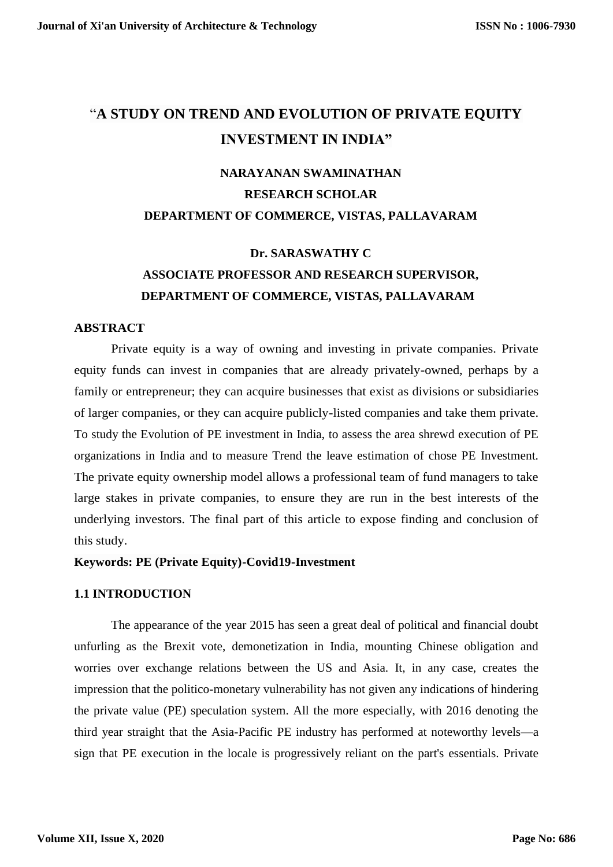# "**A STUDY ON TREND AND EVOLUTION OF PRIVATE EQUITY INVESTMENT IN INDIA"**

# **NARAYANAN SWAMINATHAN RESEARCH SCHOLAR DEPARTMENT OF COMMERCE, VISTAS, PALLAVARAM**

# **Dr. SARASWATHY C ASSOCIATE PROFESSOR AND RESEARCH SUPERVISOR, DEPARTMENT OF COMMERCE, VISTAS, PALLAVARAM**

# **ABSTRACT**

Private equity is a way of owning and investing in private companies. Private equity funds can invest in companies that are already privately-owned, perhaps by a family or entrepreneur; they can acquire businesses that exist as divisions or subsidiaries of larger companies, or they can acquire publicly-listed companies and take them private. To study the Evolution of PE investment in India, to assess the area shrewd execution of PE organizations in India and to measure Trend the leave estimation of chose PE Investment. The private equity ownership model allows a professional team of fund managers to take large stakes in private companies, to ensure they are run in the best interests of the underlying investors. The final part of this article to expose finding and conclusion of this study.

### **Keywords: PE (Private Equity)-Covid19-Investment**

### **1.1 INTRODUCTION**

The appearance of the year 2015 has seen a great deal of political and financial doubt unfurling as the Brexit vote, demonetization in India, mounting Chinese obligation and worries over exchange relations between the US and Asia. It, in any case, creates the impression that the politico-monetary vulnerability has not given any indications of hindering the private value (PE) speculation system. All the more especially, with 2016 denoting the third year straight that the Asia-Pacific PE industry has performed at noteworthy levels—a sign that PE execution in the locale is progressively reliant on the part's essentials. Private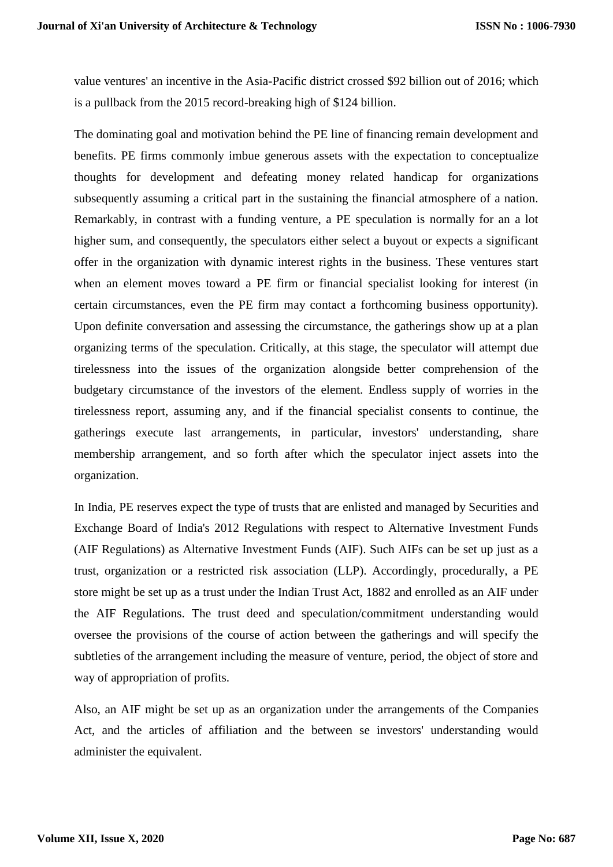value ventures' an incentive in the Asia-Pacific district crossed \$92 billion out of 2016; which is a pullback from the 2015 record-breaking high of \$124 billion.

The dominating goal and motivation behind the PE line of financing remain development and benefits. PE firms commonly imbue generous assets with the expectation to conceptualize thoughts for development and defeating money related handicap for organizations subsequently assuming a critical part in the sustaining the financial atmosphere of a nation. Remarkably, in contrast with a funding venture, a PE speculation is normally for an a lot higher sum, and consequently, the speculators either select a buyout or expects a significant offer in the organization with dynamic interest rights in the business. These ventures start when an element moves toward a PE firm or financial specialist looking for interest (in certain circumstances, even the PE firm may contact a forthcoming business opportunity). Upon definite conversation and assessing the circumstance, the gatherings show up at a plan organizing terms of the speculation. Critically, at this stage, the speculator will attempt due tirelessness into the issues of the organization alongside better comprehension of the budgetary circumstance of the investors of the element. Endless supply of worries in the tirelessness report, assuming any, and if the financial specialist consents to continue, the gatherings execute last arrangements, in particular, investors' understanding, share membership arrangement, and so forth after which the speculator inject assets into the organization.

In India, PE reserves expect the type of trusts that are enlisted and managed by Securities and Exchange Board of India's 2012 Regulations with respect to Alternative Investment Funds (AIF Regulations) as Alternative Investment Funds (AIF). Such AIFs can be set up just as a trust, organization or a restricted risk association (LLP). Accordingly, procedurally, a PE store might be set up as a trust under the Indian Trust Act, 1882 and enrolled as an AIF under the AIF Regulations. The trust deed and speculation/commitment understanding would oversee the provisions of the course of action between the gatherings and will specify the subtleties of the arrangement including the measure of venture, period, the object of store and way of appropriation of profits.

Also, an AIF might be set up as an organization under the arrangements of the Companies Act, and the articles of affiliation and the between se investors' understanding would administer the equivalent.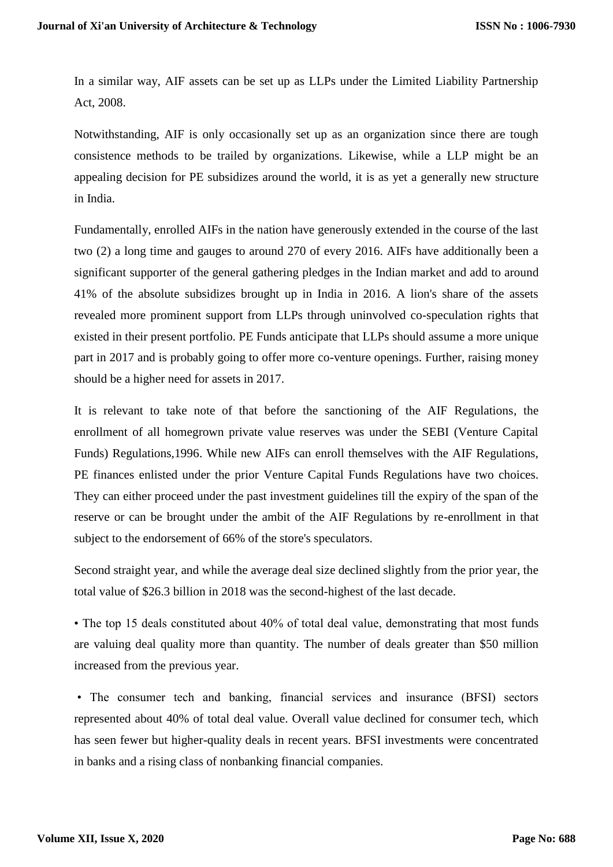In a similar way, AIF assets can be set up as LLPs under the Limited Liability Partnership Act, 2008.

Notwithstanding, AIF is only occasionally set up as an organization since there are tough consistence methods to be trailed by organizations. Likewise, while a LLP might be an appealing decision for PE subsidizes around the world, it is as yet a generally new structure in India.

Fundamentally, enrolled AIFs in the nation have generously extended in the course of the last two (2) a long time and gauges to around 270 of every 2016. AIFs have additionally been a significant supporter of the general gathering pledges in the Indian market and add to around 41% of the absolute subsidizes brought up in India in 2016. A lion's share of the assets revealed more prominent support from LLPs through uninvolved co-speculation rights that existed in their present portfolio. PE Funds anticipate that LLPs should assume a more unique part in 2017 and is probably going to offer more co-venture openings. Further, raising money should be a higher need for assets in 2017.

It is relevant to take note of that before the sanctioning of the AIF Regulations, the enrollment of all homegrown private value reserves was under the SEBI (Venture Capital Funds) Regulations,1996. While new AIFs can enroll themselves with the AIF Regulations, PE finances enlisted under the prior Venture Capital Funds Regulations have two choices. They can either proceed under the past investment guidelines till the expiry of the span of the reserve or can be brought under the ambit of the AIF Regulations by re-enrollment in that subject to the endorsement of 66% of the store's speculators.

Second straight year, and while the average deal size declined slightly from the prior year, the total value of \$26.3 billion in 2018 was the second-highest of the last decade.

• The top 15 deals constituted about 40% of total deal value, demonstrating that most funds are valuing deal quality more than quantity. The number of deals greater than \$50 million increased from the previous year.

• The consumer tech and banking, financial services and insurance (BFSI) sectors represented about 40% of total deal value. Overall value declined for consumer tech, which has seen fewer but higher-quality deals in recent years. BFSI investments were concentrated in banks and a rising class of nonbanking financial companies.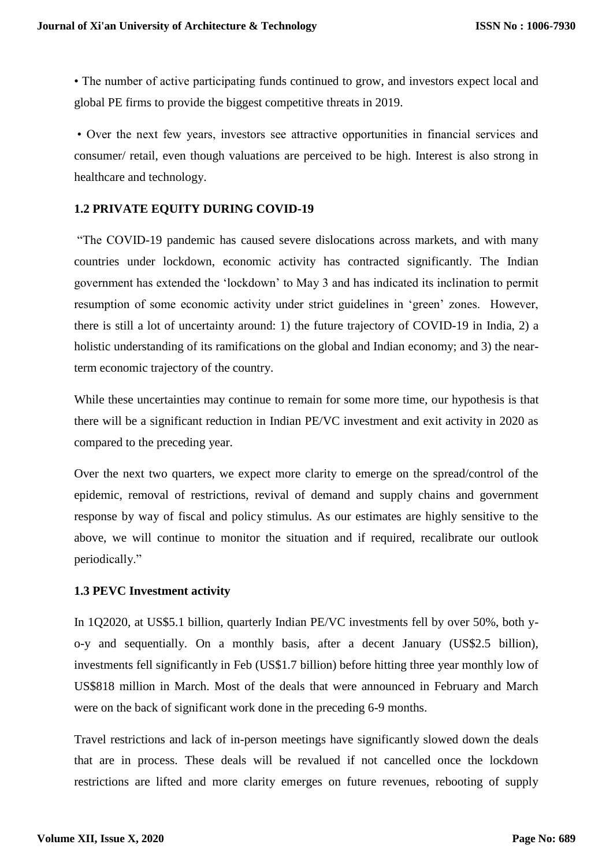• The number of active participating funds continued to grow, and investors expect local and global PE firms to provide the biggest competitive threats in 2019.

• Over the next few years, investors see attractive opportunities in financial services and consumer/ retail, even though valuations are perceived to be high. Interest is also strong in healthcare and technology.

# **1.2 PRIVATE EQUITY DURING COVID-19**

"The COVID-19 pandemic has caused severe dislocations across markets, and with many countries under lockdown, economic activity has contracted significantly. The Indian government has extended the 'lockdown' to May 3 and has indicated its inclination to permit resumption of some economic activity under strict guidelines in 'green' zones. However, there is still a lot of uncertainty around: 1) the future trajectory of COVID-19 in India, 2) a holistic understanding of its ramifications on the global and Indian economy; and 3) the nearterm economic trajectory of the country.

While these uncertainties may continue to remain for some more time, our hypothesis is that there will be a significant reduction in Indian PE/VC investment and exit activity in 2020 as compared to the preceding year.

Over the next two quarters, we expect more clarity to emerge on the spread/control of the epidemic, removal of restrictions, revival of demand and supply chains and government response by way of fiscal and policy stimulus. As our estimates are highly sensitive to the above, we will continue to monitor the situation and if required, recalibrate our outlook periodically."

# **1.3 PEVC Investment activity**

In 1Q2020, at US\$5.1 billion, quarterly Indian PE/VC investments fell by over 50%, both yo-y and sequentially. On a monthly basis, after a decent January (US\$2.5 billion), investments fell significantly in Feb (US\$1.7 billion) before hitting three year monthly low of US\$818 million in March. Most of the deals that were announced in February and March were on the back of significant work done in the preceding 6-9 months.

Travel restrictions and lack of in-person meetings have significantly slowed down the deals that are in process. These deals will be revalued if not cancelled once the lockdown restrictions are lifted and more clarity emerges on future revenues, rebooting of supply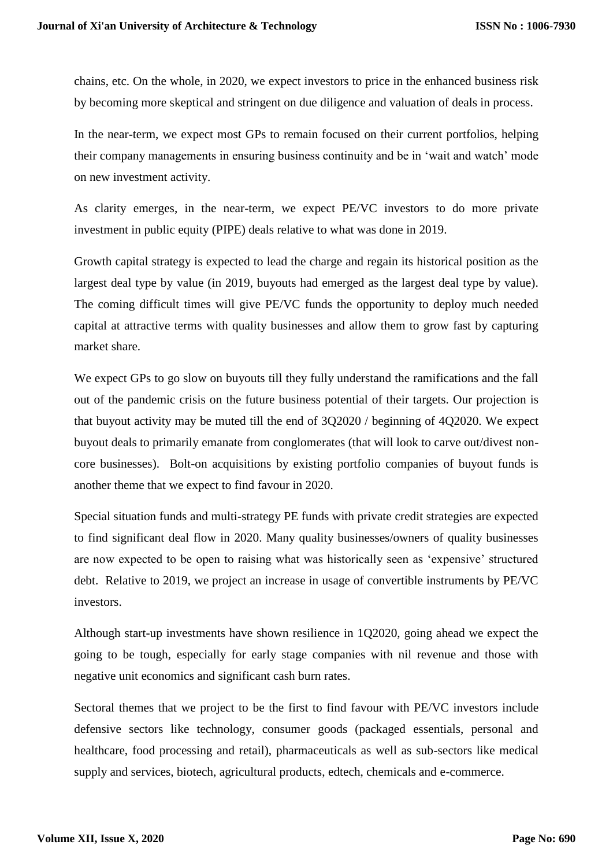chains, etc. On the whole, in 2020, we expect investors to price in the enhanced business risk by becoming more skeptical and stringent on due diligence and valuation of deals in process.

In the near-term, we expect most GPs to remain focused on their current portfolios, helping their company managements in ensuring business continuity and be in 'wait and watch' mode on new investment activity.

As clarity emerges, in the near-term, we expect PE/VC investors to do more private investment in public equity (PIPE) deals relative to what was done in 2019.

Growth capital strategy is expected to lead the charge and regain its historical position as the largest deal type by value (in 2019, buyouts had emerged as the largest deal type by value). The coming difficult times will give PE/VC funds the opportunity to deploy much needed capital at attractive terms with quality businesses and allow them to grow fast by capturing market share.

We expect GPs to go slow on buyouts till they fully understand the ramifications and the fall out of the pandemic crisis on the future business potential of their targets. Our projection is that buyout activity may be muted till the end of 3Q2020 / beginning of 4Q2020. We expect buyout deals to primarily emanate from conglomerates (that will look to carve out/divest noncore businesses). Bolt-on acquisitions by existing portfolio companies of buyout funds is another theme that we expect to find favour in 2020.

Special situation funds and multi-strategy PE funds with private credit strategies are expected to find significant deal flow in 2020. Many quality businesses/owners of quality businesses are now expected to be open to raising what was historically seen as 'expensive' structured debt. Relative to 2019, we project an increase in usage of convertible instruments by PE/VC investors.

Although start-up investments have shown resilience in 1Q2020, going ahead we expect the going to be tough, especially for early stage companies with nil revenue and those with negative unit economics and significant cash burn rates.

Sectoral themes that we project to be the first to find favour with PE/VC investors include defensive sectors like technology, consumer goods (packaged essentials, personal and healthcare, food processing and retail), pharmaceuticals as well as sub-sectors like medical supply and services, biotech, agricultural products, edtech, chemicals and e-commerce.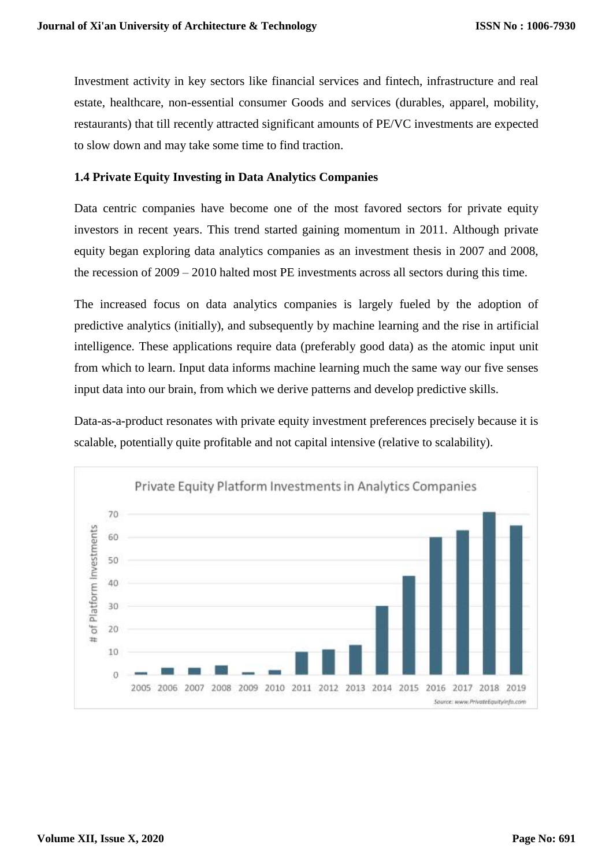Investment activity in key sectors like financial services and fintech, infrastructure and real estate, healthcare, non-essential consumer Goods and services (durables, apparel, mobility, restaurants) that till recently attracted significant amounts of PE/VC investments are expected to slow down and may take some time to find traction.

# **1.4 Private Equity Investing in Data Analytics Companies**

Data centric companies have become one of the most favored sectors for private equity investors in recent years. This trend started gaining momentum in 2011. Although private equity began exploring data analytics companies as an investment thesis in 2007 and 2008, the recession of 2009 – 2010 halted most PE investments across all sectors during this time.

The increased focus on data analytics companies is largely fueled by the adoption of predictive analytics (initially), and subsequently by machine learning and the rise in artificial intelligence. These applications require data (preferably good data) as the atomic input unit from which to learn. Input data informs machine learning much the same way our five senses input data into our brain, from which we derive patterns and develop predictive skills.

Data-as-a-product resonates with private equity investment preferences precisely because it is scalable, potentially quite profitable and not capital intensive (relative to scalability).

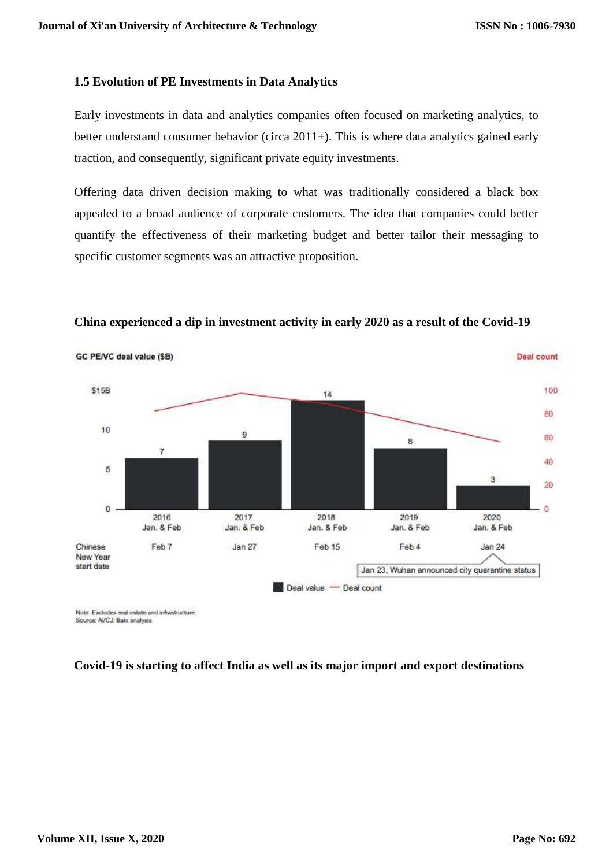#### **1.5 Evolution of PE Investments in Data Analytics**

Early investments in data and analytics companies often focused on marketing analytics, to better understand consumer behavior (circa 2011+). This is where data analytics gained early traction, and consequently, significant private equity investments.

Offering data driven decision making to what was traditionally considered a black box appealed to a broad audience of corporate customers. The idea that companies could better quantify the effectiveness of their marketing budget and better tailor their messaging to specific customer segments was an attractive proposition.



**China experienced a dip in investment activity in early 2020 as a result of the Covid-19** 

Source: AVCJ: Bain analysis

### **Covid-19 is starting to affect India as well as its major import and export destinations**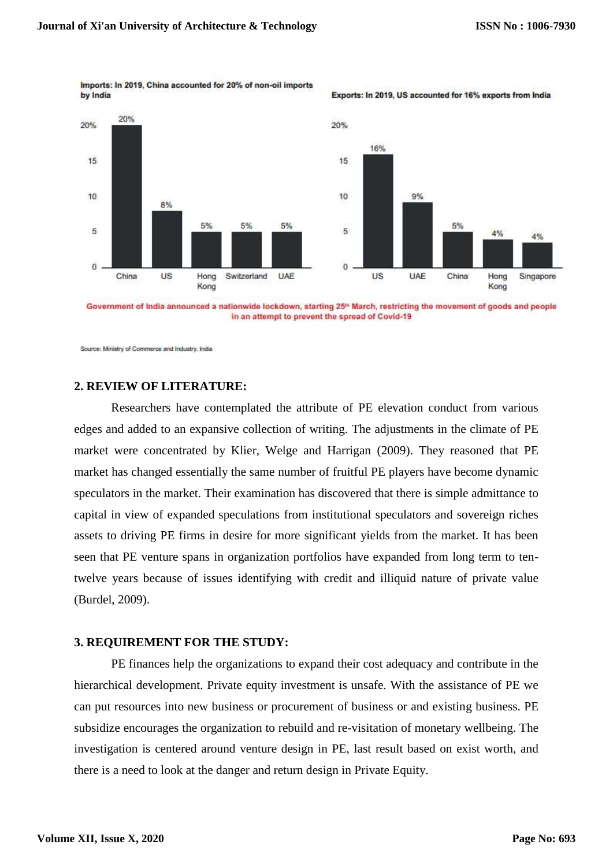

Imports: In 2019, China accounted for 20% of non-oil imports by India



Government of India announced a nationwide lockdown, starting 25<sup>th</sup> March, restricting the movement of goods and people in an attempt to prevent the spread of Covid-19

Source: Ministry of Commerce and Industry, India

#### **2. REVIEW OF LITERATURE:**

Researchers have contemplated the attribute of PE elevation conduct from various edges and added to an expansive collection of writing. The adjustments in the climate of PE market were concentrated by Klier, Welge and Harrigan (2009). They reasoned that PE market has changed essentially the same number of fruitful PE players have become dynamic speculators in the market. Their examination has discovered that there is simple admittance to capital in view of expanded speculations from institutional speculators and sovereign riches assets to driving PE firms in desire for more significant yields from the market. It has been seen that PE venture spans in organization portfolios have expanded from long term to tentwelve years because of issues identifying with credit and illiquid nature of private value (Burdel, 2009).

#### **3. REQUIREMENT FOR THE STUDY:**

PE finances help the organizations to expand their cost adequacy and contribute in the hierarchical development. Private equity investment is unsafe. With the assistance of PE we can put resources into new business or procurement of business or and existing business. PE subsidize encourages the organization to rebuild and re-visitation of monetary wellbeing. The investigation is centered around venture design in PE, last result based on exist worth, and there is a need to look at the danger and return design in Private Equity.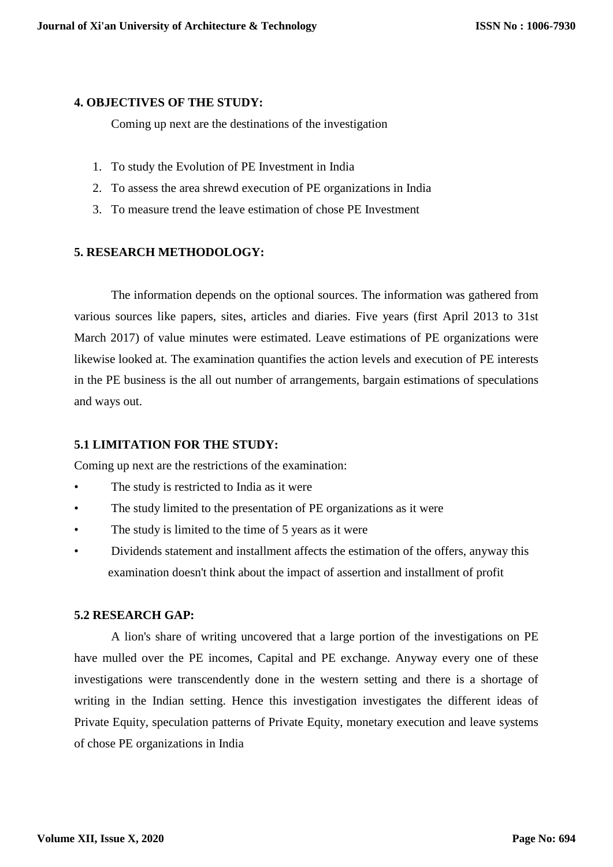#### **4. OBJECTIVES OF THE STUDY:**

Coming up next are the destinations of the investigation

- 1. To study the Evolution of PE Investment in India
- 2. To assess the area shrewd execution of PE organizations in India
- 3. To measure trend the leave estimation of chose PE Investment

## **5. RESEARCH METHODOLOGY:**

The information depends on the optional sources. The information was gathered from various sources like papers, sites, articles and diaries. Five years (first April 2013 to 31st March 2017) of value minutes were estimated. Leave estimations of PE organizations were likewise looked at. The examination quantifies the action levels and execution of PE interests in the PE business is the all out number of arrangements, bargain estimations of speculations and ways out.

### **5.1 LIMITATION FOR THE STUDY:**

Coming up next are the restrictions of the examination:

- The study is restricted to India as it were
- The study limited to the presentation of PE organizations as it were
- The study is limited to the time of 5 years as it were
- Dividends statement and installment affects the estimation of the offers, anyway this examination doesn't think about the impact of assertion and installment of profit

#### **5.2 RESEARCH GAP:**

A lion's share of writing uncovered that a large portion of the investigations on PE have mulled over the PE incomes, Capital and PE exchange. Anyway every one of these investigations were transcendently done in the western setting and there is a shortage of writing in the Indian setting. Hence this investigation investigates the different ideas of Private Equity, speculation patterns of Private Equity, monetary execution and leave systems of chose PE organizations in India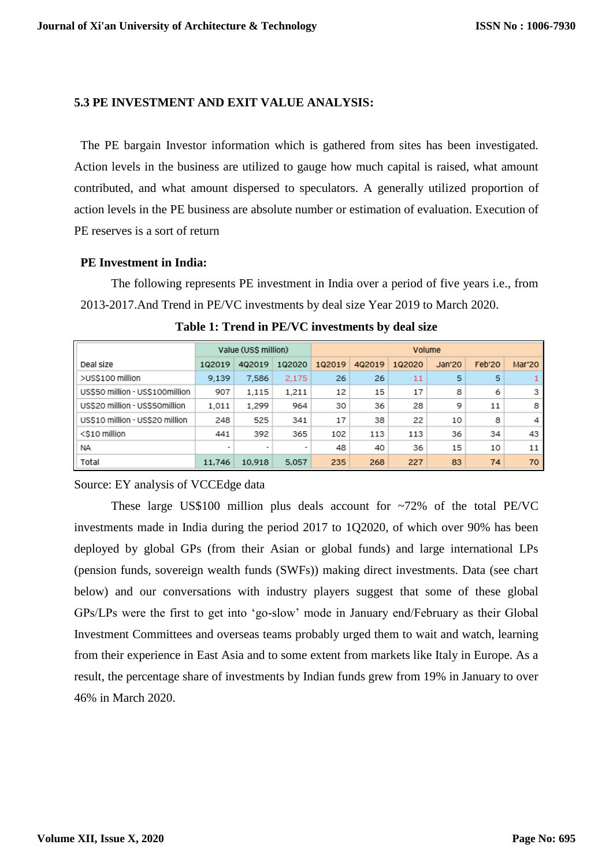#### **5.3 PE INVESTMENT AND EXIT VALUE ANALYSIS:**

The PE bargain Investor information which is gathered from sites has been investigated. Action levels in the business are utilized to gauge how much capital is raised, what amount contributed, and what amount dispersed to speculators. A generally utilized proportion of action levels in the PE business are absolute number or estimation of evaluation. Execution of PE reserves is a sort of return

#### **PE Investment in India:**

The following represents PE investment in India over a period of five years i.e., from 2013-2017.And Trend in PE/VC investments by deal size Year 2019 to March 2020.

|                                 | Value (US\$ million)     |                          | Volume |        |        |        |        |        |        |
|---------------------------------|--------------------------|--------------------------|--------|--------|--------|--------|--------|--------|--------|
| Deal size                       | 102019                   | 402019                   | 102020 | 102019 | 402019 | 102020 | Jan'20 | Feb'20 | Mar'20 |
| >US\$100 million                | 9,139                    | 7.586                    | 2,175  | 26     | 26     | 11     | 5      | 5      |        |
| US\$50 million - US\$100million | 907                      | 1.115                    | 1,211  | 12     | 15     | 17     | 8      | 6      | 3      |
| US\$20 million - US\$50million  | 1,011                    | 1.299                    | 964    | 30     | 36     | 28     | 9      | 11     | 8      |
| US\$10 million - US\$20 million | 248                      | 525                      | 341    | 17     | 38     | 22     | 10     | 8      | 4      |
| <\$10 million                   | 441                      | 392                      | 365    | 102    | 113    | 113    | 36     | 34     | 43     |
| NA.                             | $\overline{\phantom{a}}$ | $\overline{\phantom{a}}$ | ۰      | 48     | 40     | 36     | 15     | 10     | 11     |
| Total                           | 11,746                   | 10,918                   | 5,057  | 235    | 268    | 227    | 83     | 74     | 70     |

**Table 1: Trend in PE/VC investments by deal size**

### Source: EY analysis of VCCEdge data

These large US\$100 million plus deals account for  $\sim$ 72% of the total PE/VC investments made in India during the period 2017 to 1Q2020, of which over 90% has been deployed by global GPs (from their Asian or global funds) and large international LPs (pension funds, sovereign wealth funds (SWFs)) making direct investments. Data (see chart below) and our conversations with industry players suggest that some of these global GPs/LPs were the first to get into 'go-slow' mode in January end/February as their Global Investment Committees and overseas teams probably urged them to wait and watch, learning from their experience in East Asia and to some extent from markets like Italy in Europe. As a result, the percentage share of investments by Indian funds grew from 19% in January to over 46% in March 2020.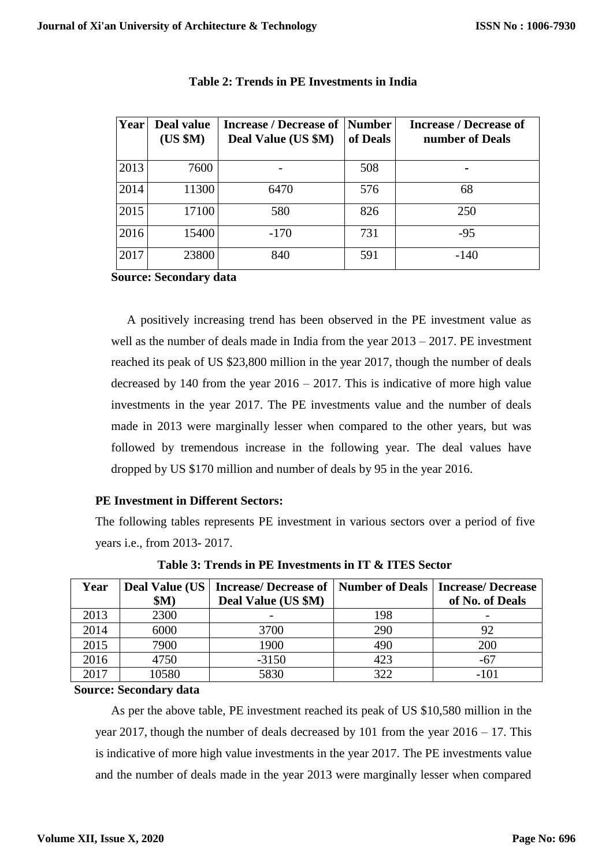| Year | Deal value<br>(US \$M) | <b>Increase / Decrease of</b><br>Deal Value (US \$M) | Number<br>of Deals | <b>Increase / Decrease of</b><br>number of Deals |
|------|------------------------|------------------------------------------------------|--------------------|--------------------------------------------------|
| 2013 | 7600                   |                                                      | 508                |                                                  |
| 2014 | 11300                  | 6470                                                 | 576                | 68                                               |
| 2015 | 17100                  | 580                                                  | 826                | 250                                              |
| 2016 | 15400                  | $-170$                                               | 731                | $-95$                                            |
| 2017 | 23800                  | 840                                                  | 591                | $-140$                                           |

# **Table 2: Trends in PE Investments in India**

## **Source: Secondary data**

A positively increasing trend has been observed in the PE investment value as well as the number of deals made in India from the year 2013 – 2017. PE investment reached its peak of US \$23,800 million in the year 2017, though the number of deals decreased by 140 from the year  $2016 - 2017$ . This is indicative of more high value investments in the year 2017. The PE investments value and the number of deals made in 2013 were marginally lesser when compared to the other years, but was followed by tremendous increase in the following year. The deal values have dropped by US \$170 million and number of deals by 95 in the year 2016.

# **PE Investment in Different Sectors:**

The following tables represents PE investment in various sectors over a period of five years i.e., from 2013- 2017.

| Year |       | Deal Value (US   Increase/ Decrease of   Number of Deals |     | <b>Increase/Decrease</b> |  |
|------|-------|----------------------------------------------------------|-----|--------------------------|--|
|      | \$M)  | Deal Value (US \$M)                                      |     | of No. of Deals          |  |
| 2013 | 2300  |                                                          | 198 |                          |  |
| 2014 | 6000  | 3700                                                     | 290 | 92                       |  |
| 2015 | 7900  | 1900                                                     | 490 | 200                      |  |
| 2016 | 4750  | $-3150$                                                  | 423 | $-67$                    |  |
| 2017 | 10580 | 5830                                                     | 322 | -101                     |  |

 **Table 3: Trends in PE Investments in IT & ITES Sector**

### **Source: Secondary data**

As per the above table, PE investment reached its peak of US \$10,580 million in the year 2017, though the number of deals decreased by 101 from the year 2016 – 17. This is indicative of more high value investments in the year 2017. The PE investments value and the number of deals made in the year 2013 were marginally lesser when compared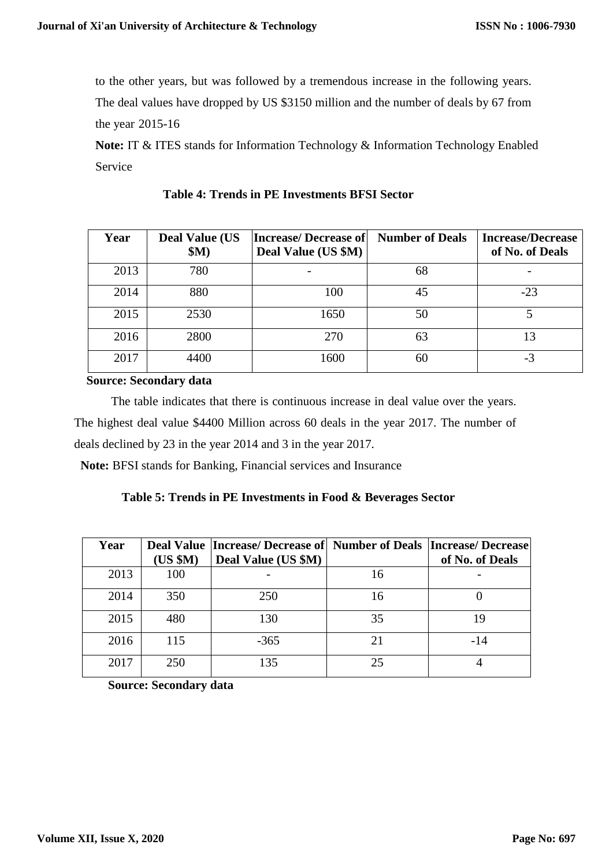to the other years, but was followed by a tremendous increase in the following years. The deal values have dropped by US \$3150 million and the number of deals by 67 from the year 2015-16

**Note:** IT & ITES stands for Information Technology & Information Technology Enabled Service

| Year | <b>Deal Value (US</b><br>\$M) | <b>Increase/Decrease of</b><br>Deal Value (US \$M) | <b>Number of Deals</b> | <b>Increase/Decrease</b><br>of No. of Deals |
|------|-------------------------------|----------------------------------------------------|------------------------|---------------------------------------------|
| 2013 | 780                           |                                                    | 68                     |                                             |
| 2014 | 880                           | 100                                                | 45                     | $-23$                                       |
| 2015 | 2530                          | 1650                                               | 50                     |                                             |
| 2016 | 2800                          | 270                                                | 63                     | 13                                          |
| 2017 | 4400                          | 1600                                               | 60                     | -3                                          |

**Table 4: Trends in PE Investments BFSI Sector**

 **Source: Secondary data**

The table indicates that there is continuous increase in deal value over the years. The highest deal value \$4400 Million across 60 deals in the year 2017. The number of deals declined by 23 in the year 2014 and 3 in the year 2017.

**Note:** BFSI stands for Banking, Financial services and Insurance

|  |  | Table 5: Trends in PE Investments in Food & Beverages Sector |  |
|--|--|--------------------------------------------------------------|--|
|  |  |                                                              |  |

| Year | (US \$M) | Deal Value   Increase/ Decrease of   Number of Deals   Increase/ Decrease<br>Deal Value (US \$M) |    | of No. of Deals |
|------|----------|--------------------------------------------------------------------------------------------------|----|-----------------|
| 2013 | 100      |                                                                                                  | 16 |                 |
| 2014 | 350      | 250                                                                                              | 16 |                 |
| 2015 | 480      | 130                                                                                              | 35 | 19              |
| 2016 | 115      | $-365$                                                                                           | 21 | $-14$           |
| 2017 | 250      | 135                                                                                              | 25 |                 |

 **Source: Secondary data**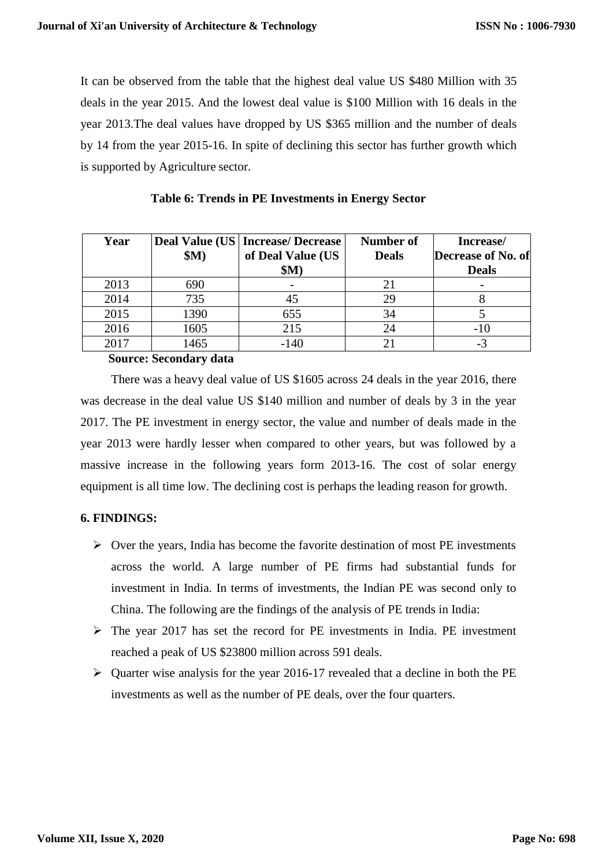It can be observed from the table that the highest deal value US \$480 Million with 35 deals in the year 2015. And the lowest deal value is \$100 Million with 16 deals in the year 2013.The deal values have dropped by US \$365 million and the number of deals by 14 from the year 2015-16. In spite of declining this sector has further growth which is supported by Agriculture sector.

| Year | \$M) | <b>Deal Value (US   Increase/ Decrease</b><br>of Deal Value (US<br>\$M) | <b>Number of</b><br><b>Deals</b> | Increase/<br>Decrease of No. of<br><b>Deals</b> |
|------|------|-------------------------------------------------------------------------|----------------------------------|-------------------------------------------------|
| 2013 | 690  |                                                                         |                                  |                                                 |
| 2014 | 735  | 45                                                                      | 29                               |                                                 |
| 2015 | 1390 | 655                                                                     | 34                               |                                                 |
| 2016 | 1605 | 215                                                                     | 24                               | $-10$                                           |
| 2017 | 1465 | $-140$                                                                  |                                  | - 1                                             |

#### **Table 6: Trends in PE Investments in Energy Sector**

 **Source: Secondary data**

There was a heavy deal value of US \$1605 across 24 deals in the year 2016, there was decrease in the deal value US \$140 million and number of deals by 3 in the year 2017. The PE investment in energy sector, the value and number of deals made in the year 2013 were hardly lesser when compared to other years, but was followed by a massive increase in the following years form 2013-16. The cost of solar energy equipment is all time low. The declining cost is perhaps the leading reason for growth.

### **6. FINDINGS:**

- $\triangleright$  Over the years, India has become the favorite destination of most PE investments across the world. A large number of PE firms had substantial funds for investment in India. In terms of investments, the Indian PE was second only to China. The following are the findings of the analysis of PE trends in India:
- $\triangleright$  The year 2017 has set the record for PE investments in India. PE investment reached a peak of US \$23800 million across 591 deals.
- $\triangleright$  Quarter wise analysis for the year 2016-17 revealed that a decline in both the PE investments as well as the number of PE deals, over the four quarters.